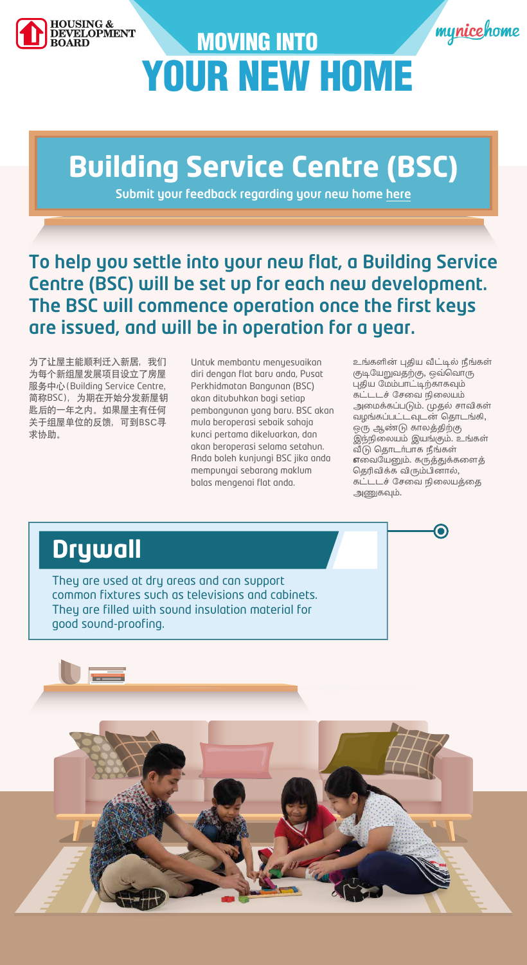



# MOVING INTO YOUR NEW HOME

为了让屋主能顺利迁入新居,我们 为每个新组屋发展项目设立了房屋 服务中心(Building Service Centre, 简称BSC),为期在开始分发新屋钥 匙后的一年之内。如果屋主有任何 关于组屋单位的反馈,可到BSC寻 求协助。

Untuk membantu menyesuaikan diri dengan flat baru anda, Pusat Perkhidmatan Bangunan (BSC) akan ditubuhkan bagi setiap pembangunan yang baru. BSC akan mula beroperasi sebaik sahaja kunci pertama dikeluarkan, dan akan beroperasi selama setahun. Anda boleh kunjungi BSC jika anda mempunyai sebarang maklum balas mengenai flat anda.

உங்களின் புதிய வீட்டில் நீங்கள் குடியேறுவதற்கு, ஒவ்வொரு புதிய மேம்பாட்டிற்காகவும் கட்டடச் சேவை நிலையம் அமைக்கப்படும். முதல் சாவிகள் வழங்கப்பட்டவுடன் தொடங்கி, ஒரு ஆண்டு காலத்திற்கு இந்நிலையம் இயங்கும். உங்கள் வீடு தொடர்பாக நீங்கள் எவையேனும். கருத்துக்களைத் தெரிவிக்க விரும்பினால், ு.<br>கட்டடச் சேவை நிலையத்தை அணுகவும்.

To help you settle into your new flat, a Building Service Centre (BSC) will be set up for each new development. The BSC will commence operation once the first keys are issued, and will be in operation for a year.

## **Building Service Centre (BSC)**

#### **Drywall**

They are used at dry areas and can support common fixtures such as televisions and cabinets. They are filled with sound insulation material for good sound-proofing.



Submit your feedback regarding your new home [here](https://www.hdb.gov.sg/rectification)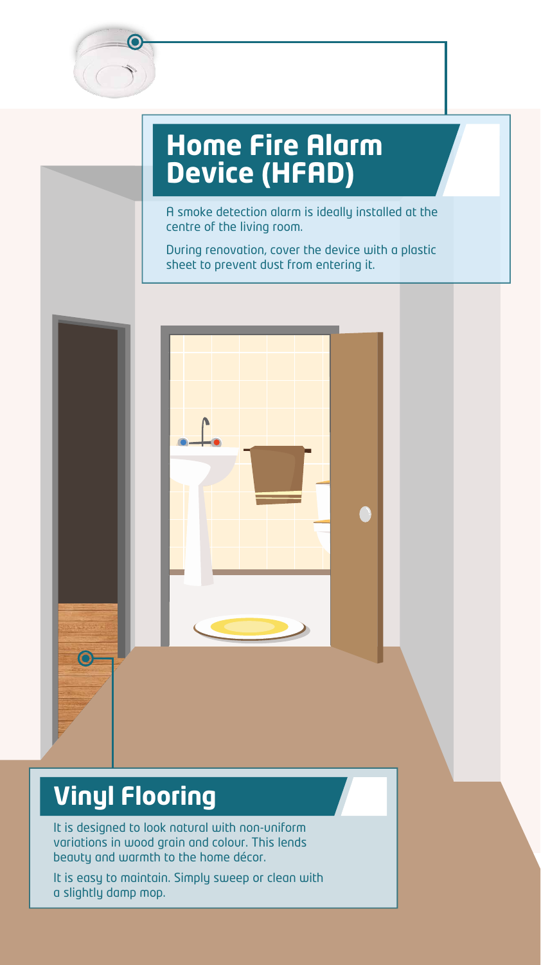

#### **Home Fire Alarm Device (HFAD)**

A smoke detection alarm is ideally installed at the centre of the living room.

During renovation, cover the device with a plastic sheet to prevent dust from entering it.



#### **Vinyl Flooring**

It is designed to look natural with non-uniform variations in wood grain and colour. This lends beauty and warmth to the home décor.

It is easy to maintain. Simply sweep or clean with a slightly damp mop.